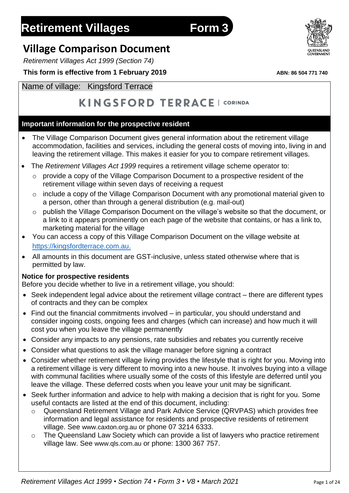# **Retirement Villages Form 3**

# **Village Comparison Document**

*Retirement Villages Act 1999 (Section 74)*

## **This form is effective from 1 February 2019** *ABN: 86 504 771 740*

# Name of village: Kingsford Terrace

# KINGSFORD TERRACE | CORINDA

# **Important information for the prospective resident**

- The Village Comparison Document gives general information about the retirement village accommodation, facilities and services, including the general costs of moving into, living in and leaving the retirement village. This makes it easier for you to compare retirement villages.
- The *Retirement Villages Act 1999* requires a retirement village scheme operator to:
	- o provide a copy of the Village Comparison Document to a prospective resident of the retirement village within seven days of receiving a request
	- o include a copy of the Village Comparison Document with any promotional material given to a person, other than through a general distribution (e.g. mail-out)
	- o publish the Village Comparison Document on the village's website so that the document, or a link to it appears prominently on each page of the website that contains, or has a link to, marketing material for the village
- You can access a copy of this Village Comparison Document on the village website at [https://kingsfordterrace.com.au.](https://kingsfordterrace.com.au/)
- All amounts in this document are GST-inclusive, unless stated otherwise where that is permitted by law.

## **Notice for prospective residents**

Before you decide whether to live in a retirement village, you should:

- Seek independent legal advice about the retirement village contract there are different types of contracts and they can be complex
- Find out the financial commitments involved in particular, you should understand and consider ingoing costs, ongoing fees and charges (which can increase) and how much it will cost you when you leave the village permanently
- Consider any impacts to any pensions, rate subsidies and rebates you currently receive
- Consider what questions to ask the village manager before signing a contract
- Consider whether retirement village living provides the lifestyle that is right for you. Moving into a retirement village is very different to moving into a new house. It involves buying into a village with communal facilities where usually some of the costs of this lifestyle are deferred until you leave the village. These deferred costs when you leave your unit may be significant.
- Seek further information and advice to help with making a decision that is right for you. Some useful contacts are listed at the end of this document, including:
	- o Queensland Retirement Village and Park Advice Service (QRVPAS) which provides free information and legal assistance for residents and prospective residents of retirement village. See [www.caxton.org.au](http://www.caxton.org.au/) or phone 07 3214 6333.
	- o The Queensland Law Society which can provide a list of lawyers who practice retirement village law. See [www.qls.com.au](http://www.qls.com.au/) or phone: 1300 367 757.



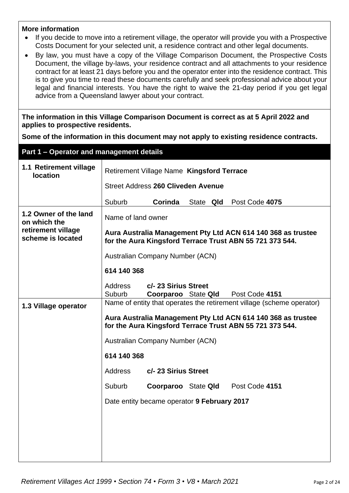#### **More information**

- If you decide to move into a retirement village, the operator will provide you with a Prospective Costs Document for your selected unit, a residence contract and other legal documents.
- By law, you must have a copy of the Village Comparison Document, the Prospective Costs Document, the village by-laws, your residence contract and all attachments to your residence contract for at least 21 days before you and the operator enter into the residence contract. This is to give you time to read these documents carefully and seek professional advice about your legal and financial interests. You have the right to waive the 21-day period if you get legal advice from a Queensland lawyer about your contract.

**The information in this Village Comparison Document is correct as at 5 April 2022 and applies to prospective residents.**

**Some of the information in this document may not apply to existing residence contracts.**

| Part 1 - Operator and management details  |                                                                                                                          |                                             |                                    |  |                                                                       |  |
|-------------------------------------------|--------------------------------------------------------------------------------------------------------------------------|---------------------------------------------|------------------------------------|--|-----------------------------------------------------------------------|--|
| 1.1 Retirement village<br><b>location</b> | Retirement Village Name Kingsford Terrace                                                                                |                                             |                                    |  |                                                                       |  |
|                                           |                                                                                                                          |                                             | Street Address 260 Cliveden Avenue |  |                                                                       |  |
|                                           | Suburb                                                                                                                   | Corinda                                     |                                    |  | State Qld Post Code 4075                                              |  |
| 1.2 Owner of the land<br>on which the     | Name of land owner                                                                                                       |                                             |                                    |  |                                                                       |  |
| retirement village<br>scheme is located   | Aura Australia Management Pty Ltd ACN 614 140 368 as trustee<br>for the Aura Kingsford Terrace Trust ABN 55 721 373 544. |                                             |                                    |  |                                                                       |  |
|                                           | <b>Australian Company Number (ACN)</b>                                                                                   |                                             |                                    |  |                                                                       |  |
|                                           | 614 140 368                                                                                                              |                                             |                                    |  |                                                                       |  |
|                                           | Address<br>Suburb                                                                                                        | c/- 23 Sirius Street<br>Coorparoo State Qld |                                    |  | Post Code 4151                                                        |  |
| 1.3 Village operator                      |                                                                                                                          |                                             |                                    |  | Name of entity that operates the retirement village (scheme operator) |  |
|                                           | Aura Australia Management Pty Ltd ACN 614 140 368 as trustee<br>for the Aura Kingsford Terrace Trust ABN 55 721 373 544. |                                             |                                    |  |                                                                       |  |
|                                           | <b>Australian Company Number (ACN)</b>                                                                                   |                                             |                                    |  |                                                                       |  |
|                                           | 614 140 368                                                                                                              |                                             |                                    |  |                                                                       |  |
|                                           | Address                                                                                                                  | c/- 23 Sirius Street                        |                                    |  |                                                                       |  |
|                                           | Suburb                                                                                                                   | <b>Coorparoo</b> State Qld                  |                                    |  | Post Code 4151                                                        |  |
|                                           | Date entity became operator 9 February 2017                                                                              |                                             |                                    |  |                                                                       |  |
|                                           |                                                                                                                          |                                             |                                    |  |                                                                       |  |
|                                           |                                                                                                                          |                                             |                                    |  |                                                                       |  |
|                                           |                                                                                                                          |                                             |                                    |  |                                                                       |  |
|                                           |                                                                                                                          |                                             |                                    |  |                                                                       |  |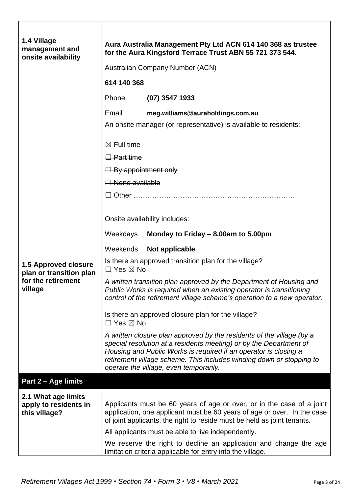| 1.4 Village<br>management and<br>onsite availability          | Aura Australia Management Pty Ltd ACN 614 140 368 as trustee<br>for the Aura Kingsford Terrace Trust ABN 55 721 373 544.                                                                                                                                                                                                          |  |  |  |
|---------------------------------------------------------------|-----------------------------------------------------------------------------------------------------------------------------------------------------------------------------------------------------------------------------------------------------------------------------------------------------------------------------------|--|--|--|
|                                                               | Australian Company Number (ACN)                                                                                                                                                                                                                                                                                                   |  |  |  |
|                                                               | 614 140 368                                                                                                                                                                                                                                                                                                                       |  |  |  |
|                                                               | Phone<br>$(07)$ 3547 1933                                                                                                                                                                                                                                                                                                         |  |  |  |
|                                                               | Email<br>meg.williams@auraholdings.com.au                                                                                                                                                                                                                                                                                         |  |  |  |
|                                                               | An onsite manager (or representative) is available to residents:                                                                                                                                                                                                                                                                  |  |  |  |
|                                                               | $\boxtimes$ Full time                                                                                                                                                                                                                                                                                                             |  |  |  |
|                                                               | $\Box$ Part time                                                                                                                                                                                                                                                                                                                  |  |  |  |
|                                                               | $\Box$ By appointment only                                                                                                                                                                                                                                                                                                        |  |  |  |
|                                                               | Alone available                                                                                                                                                                                                                                                                                                                   |  |  |  |
|                                                               | □ Other                                                                                                                                                                                                                                                                                                                           |  |  |  |
|                                                               |                                                                                                                                                                                                                                                                                                                                   |  |  |  |
|                                                               | Onsite availability includes:                                                                                                                                                                                                                                                                                                     |  |  |  |
|                                                               | Weekdays<br>Monday to Friday - 8.00am to 5.00pm                                                                                                                                                                                                                                                                                   |  |  |  |
|                                                               |                                                                                                                                                                                                                                                                                                                                   |  |  |  |
|                                                               | Weekends<br>Not applicable                                                                                                                                                                                                                                                                                                        |  |  |  |
| <b>1.5 Approved closure</b>                                   | Is there an approved transition plan for the village?<br>$\Box$ Yes $\boxtimes$ No                                                                                                                                                                                                                                                |  |  |  |
| plan or transition plan<br>for the retirement<br>village      | A written transition plan approved by the Department of Housing and<br>Public Works is required when an existing operator is transitioning<br>control of the retirement village scheme's operation to a new operator.                                                                                                             |  |  |  |
|                                                               | Is there an approved closure plan for the village?<br>$\Box$ Yes $\boxtimes$ No                                                                                                                                                                                                                                                   |  |  |  |
|                                                               | A written closure plan approved by the residents of the village (by a<br>special resolution at a residents meeting) or by the Department of<br>Housing and Public Works is required if an operator is closing a<br>retirement village scheme. This includes winding down or stopping to<br>operate the village, even temporarily. |  |  |  |
| Part 2 - Age limits                                           |                                                                                                                                                                                                                                                                                                                                   |  |  |  |
| 2.1 What age limits<br>apply to residents in<br>this village? | Applicants must be 60 years of age or over, or in the case of a joint<br>application, one applicant must be 60 years of age or over. In the case<br>of joint applicants, the right to reside must be held as joint tenants.                                                                                                       |  |  |  |
|                                                               | All applicants must be able to live independently.<br>We reserve the right to decline an application and change the age                                                                                                                                                                                                           |  |  |  |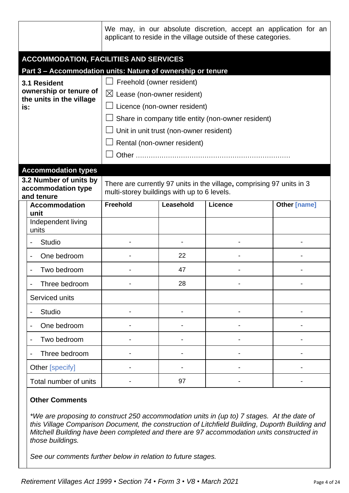|                                                                    |                                                            | We may, in our absolute discretion, accept an application for an<br>applicant to reside in the village outside of these categories. |                                         |                |                     |  |  |
|--------------------------------------------------------------------|------------------------------------------------------------|-------------------------------------------------------------------------------------------------------------------------------------|-----------------------------------------|----------------|---------------------|--|--|
|                                                                    | <b>ACCOMMODATION, FACILITIES AND SERVICES</b>              |                                                                                                                                     |                                         |                |                     |  |  |
|                                                                    |                                                            | Part 3 - Accommodation units: Nature of ownership or tenure                                                                         |                                         |                |                     |  |  |
| 3.1 Resident<br>ownership or tenure of<br>the units in the village |                                                            | Freehold (owner resident)                                                                                                           |                                         |                |                     |  |  |
|                                                                    |                                                            | $\boxtimes$ Lease (non-owner resident)                                                                                              |                                         |                |                     |  |  |
| is:                                                                |                                                            | Licence (non-owner resident)                                                                                                        |                                         |                |                     |  |  |
|                                                                    |                                                            | Share in company title entity (non-owner resident)                                                                                  |                                         |                |                     |  |  |
|                                                                    |                                                            |                                                                                                                                     | Unit in unit trust (non-owner resident) |                |                     |  |  |
|                                                                    |                                                            |                                                                                                                                     | Rental (non-owner resident)             |                |                     |  |  |
|                                                                    |                                                            |                                                                                                                                     |                                         |                |                     |  |  |
|                                                                    | <b>Accommodation types</b>                                 |                                                                                                                                     |                                         |                |                     |  |  |
|                                                                    | 3.2 Number of units by<br>accommodation type<br>and tenure | There are currently 97 units in the village, comprising 97 units in 3<br>multi-storey buildings with up to 6 levels.                |                                         |                |                     |  |  |
|                                                                    | <b>Accommodation</b><br>unit                               | Freehold                                                                                                                            | Leasehold                               | <b>Licence</b> | <b>Other [name]</b> |  |  |
|                                                                    | Independent living<br>units                                |                                                                                                                                     |                                         |                |                     |  |  |
|                                                                    | <b>Studio</b>                                              |                                                                                                                                     |                                         |                |                     |  |  |
|                                                                    | One bedroom                                                |                                                                                                                                     | 22                                      |                |                     |  |  |
|                                                                    | Two bedroom                                                |                                                                                                                                     | 47                                      |                |                     |  |  |
|                                                                    | Three bedroom                                              |                                                                                                                                     | 28                                      |                |                     |  |  |
| Serviced units                                                     |                                                            |                                                                                                                                     |                                         |                |                     |  |  |
|                                                                    | <b>Studio</b>                                              |                                                                                                                                     |                                         |                |                     |  |  |
|                                                                    | One bedroom                                                |                                                                                                                                     |                                         |                |                     |  |  |
|                                                                    | Two bedroom                                                |                                                                                                                                     |                                         |                |                     |  |  |
|                                                                    | Three bedroom                                              |                                                                                                                                     |                                         |                |                     |  |  |
|                                                                    | Other [specify]                                            |                                                                                                                                     |                                         |                |                     |  |  |
|                                                                    | Total number of units                                      |                                                                                                                                     | 97                                      |                |                     |  |  |

## **Other Comments**

*\*We are proposing to construct 250 accommodation units in (up to) 7 stages. At the date of this Village Comparison Document, the construction of Litchfield Building, Duporth Building and Mitchell Building have been completed and there are 97 accommodation units constructed in those buildings.* 

*See our comments further below in relation to future stages.*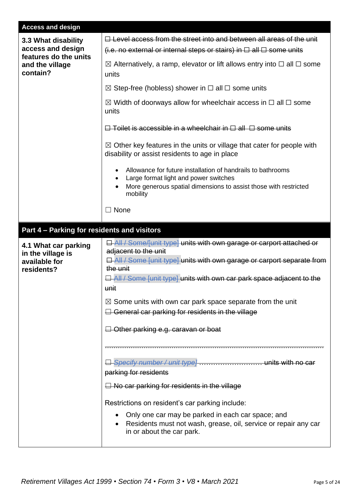| <b>Access and design</b>                                                 |                                                                                                                                                                                                                                                                                              |  |  |  |  |
|--------------------------------------------------------------------------|----------------------------------------------------------------------------------------------------------------------------------------------------------------------------------------------------------------------------------------------------------------------------------------------|--|--|--|--|
| 3.3 What disability<br>access and design                                 | $\Box$ Level access from the street into and between all areas of the unit<br>(i.e. no external or internal steps or stairs) in $\Box$ all $\Box$ some units                                                                                                                                 |  |  |  |  |
| features do the units<br>and the village<br>contain?                     | $\boxtimes$ Alternatively, a ramp, elevator or lift allows entry into $\Box$ all $\Box$ some<br>units                                                                                                                                                                                        |  |  |  |  |
|                                                                          | $\boxtimes$ Step-free (hobless) shower in $\square$ all $\square$ some units                                                                                                                                                                                                                 |  |  |  |  |
|                                                                          | $\boxtimes$ Width of doorways allow for wheelchair access in $\Box$ all $\Box$ some<br>units                                                                                                                                                                                                 |  |  |  |  |
|                                                                          | $\Box$ Toilet is accessible in a wheelchair in $\Box$ all $\Box$ some units                                                                                                                                                                                                                  |  |  |  |  |
|                                                                          | $\boxtimes$ Other key features in the units or village that cater for people with<br>disability or assist residents to age in place                                                                                                                                                          |  |  |  |  |
|                                                                          | Allowance for future installation of handrails to bathrooms<br>Large format light and power switches<br>More generous spatial dimensions to assist those with restricted<br>mobility                                                                                                         |  |  |  |  |
|                                                                          | None                                                                                                                                                                                                                                                                                         |  |  |  |  |
| Part 4 - Parking for residents and visitors                              |                                                                                                                                                                                                                                                                                              |  |  |  |  |
|                                                                          |                                                                                                                                                                                                                                                                                              |  |  |  |  |
| 4.1 What car parking<br>in the village is<br>available for<br>residents? | <b>E</b> All / Some/funit type] units with own garage or carport attached or<br>adjacent to the unit<br><b>El All / Some [unit type] units with own garage or carport separate from</b><br>the unit<br><b>E</b> All / Some [unit type] units with own car park space adjacent to the<br>unit |  |  |  |  |
|                                                                          | $\boxtimes$ Some units with own car park space separate from the unit<br>$\Box$ General car parking for residents in the village                                                                                                                                                             |  |  |  |  |
|                                                                          | $\Box$ Other parking e.g. caravan or boat                                                                                                                                                                                                                                                    |  |  |  |  |
|                                                                          |                                                                                                                                                                                                                                                                                              |  |  |  |  |
|                                                                          | parking for residents                                                                                                                                                                                                                                                                        |  |  |  |  |
|                                                                          | $\Box$ No car parking for residents in the village<br>Restrictions on resident's car parking include:                                                                                                                                                                                        |  |  |  |  |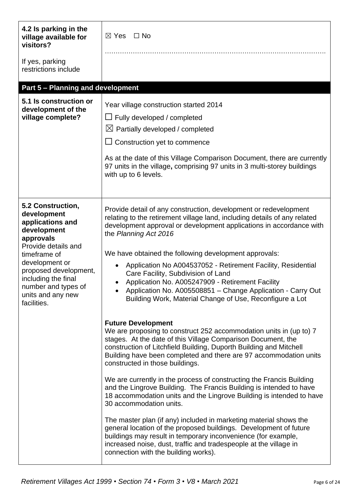| 4.2 Is parking in the<br>village available for<br>visitors?                                                                                                                                                                                          | $\Box$ No<br>$\boxtimes$ Yes                                                                                                                                                                                                                                                                                                                                                                                                                                                                                                                                                                                                                                                                                                                                                                                                                                                                                            |
|------------------------------------------------------------------------------------------------------------------------------------------------------------------------------------------------------------------------------------------------------|-------------------------------------------------------------------------------------------------------------------------------------------------------------------------------------------------------------------------------------------------------------------------------------------------------------------------------------------------------------------------------------------------------------------------------------------------------------------------------------------------------------------------------------------------------------------------------------------------------------------------------------------------------------------------------------------------------------------------------------------------------------------------------------------------------------------------------------------------------------------------------------------------------------------------|
| If yes, parking<br>restrictions include                                                                                                                                                                                                              |                                                                                                                                                                                                                                                                                                                                                                                                                                                                                                                                                                                                                                                                                                                                                                                                                                                                                                                         |
| <b>Part 5 - Planning and development</b>                                                                                                                                                                                                             |                                                                                                                                                                                                                                                                                                                                                                                                                                                                                                                                                                                                                                                                                                                                                                                                                                                                                                                         |
| 5.1 Is construction or<br>development of the<br>village complete?                                                                                                                                                                                    | Year village construction started 2014<br>$\Box$ Fully developed / completed<br>$\boxtimes$ Partially developed / completed<br>$\Box$ Construction yet to commence<br>As at the date of this Village Comparison Document, there are currently<br>97 units in the village, comprising 97 units in 3 multi-storey buildings<br>with up to 6 levels.                                                                                                                                                                                                                                                                                                                                                                                                                                                                                                                                                                       |
| 5.2 Construction,<br>development<br>applications and<br>development<br>approvals<br>Provide details and<br>timeframe of<br>development or<br>proposed development,<br>including the final<br>number and types of<br>units and any new<br>facilities. | Provide detail of any construction, development or redevelopment<br>relating to the retirement village land, including details of any related<br>development approval or development applications in accordance with<br>the Planning Act 2016<br>We have obtained the following development approvals:<br>Application No A004537052 - Retirement Facility, Residential<br>$\bullet$<br>Care Facility, Subdivision of Land<br>Application No. A005247909 - Retirement Facility<br>Application No. A005508851 - Change Application - Carry Out<br>Building Work, Material Change of Use, Reconfigure a Lot                                                                                                                                                                                                                                                                                                                |
|                                                                                                                                                                                                                                                      | <b>Future Development</b><br>We are proposing to construct 252 accommodation units in (up to) 7<br>stages. At the date of this Village Comparison Document, the<br>construction of Litchfield Building, Duporth Building and Mitchell<br>Building have been completed and there are 97 accommodation units<br>constructed in those buildings.<br>We are currently in the process of constructing the Francis Building<br>and the Lingrove Building. The Francis Building is intended to have<br>18 accommodation units and the Lingrove Building is intended to have<br>30 accommodation units.<br>The master plan (if any) included in marketing material shows the<br>general location of the proposed buildings. Development of future<br>buildings may result in temporary inconvenience (for example,<br>increased noise, dust, traffic and tradespeople at the village in<br>connection with the building works). |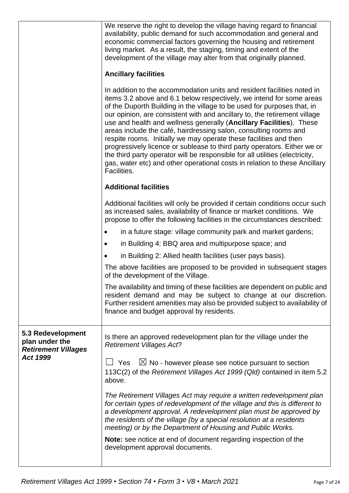|                                                                   | We reserve the right to develop the village having regard to financial<br>availability, public demand for such accommodation and general and<br>economic commercial factors governing the housing and retirement<br>living market. As a result, the staging, timing and extent of the<br>development of the village may alter from that originally planned.<br><b>Ancillary facilities</b><br>In addition to the accommodation units and resident facilities noted in<br>items 3.2 above and 6.1 below respectively, we intend for some areas<br>of the Duporth Building in the village to be used for purposes that, in<br>our opinion, are consistent with and ancillary to, the retirement village<br>use and health and wellness generally (Ancillary Facilities). These<br>areas include the café, hairdressing salon, consulting rooms and<br>respite rooms. Initially we may operate these facilities and then<br>progressively licence or sublease to third party operators. Either we or<br>the third party operator will be responsible for all utilities (electricity,<br>gas, water etc) and other operational costs in relation to these Ancillary |
|-------------------------------------------------------------------|-----------------------------------------------------------------------------------------------------------------------------------------------------------------------------------------------------------------------------------------------------------------------------------------------------------------------------------------------------------------------------------------------------------------------------------------------------------------------------------------------------------------------------------------------------------------------------------------------------------------------------------------------------------------------------------------------------------------------------------------------------------------------------------------------------------------------------------------------------------------------------------------------------------------------------------------------------------------------------------------------------------------------------------------------------------------------------------------------------------------------------------------------------------------|
|                                                                   | Facilities.<br><b>Additional facilities</b>                                                                                                                                                                                                                                                                                                                                                                                                                                                                                                                                                                                                                                                                                                                                                                                                                                                                                                                                                                                                                                                                                                                     |
|                                                                   | Additional facilities will only be provided if certain conditions occur such<br>as increased sales, availability of finance or market conditions. We<br>propose to offer the following facilities in the circumstances described:                                                                                                                                                                                                                                                                                                                                                                                                                                                                                                                                                                                                                                                                                                                                                                                                                                                                                                                               |
|                                                                   | in a future stage: village community park and market gardens;                                                                                                                                                                                                                                                                                                                                                                                                                                                                                                                                                                                                                                                                                                                                                                                                                                                                                                                                                                                                                                                                                                   |
|                                                                   | in Building 4: BBQ area and multipurpose space; and                                                                                                                                                                                                                                                                                                                                                                                                                                                                                                                                                                                                                                                                                                                                                                                                                                                                                                                                                                                                                                                                                                             |
|                                                                   | in Building 2: Allied health facilities (user pays basis).                                                                                                                                                                                                                                                                                                                                                                                                                                                                                                                                                                                                                                                                                                                                                                                                                                                                                                                                                                                                                                                                                                      |
|                                                                   | The above facilities are proposed to be provided in subsequent stages<br>of the development of the Village.                                                                                                                                                                                                                                                                                                                                                                                                                                                                                                                                                                                                                                                                                                                                                                                                                                                                                                                                                                                                                                                     |
|                                                                   | The availability and timing of these facilities are dependent on public and<br>resident demand and may be subject to change at our discretion.<br>Further resident amenities may also be provided subject to availability of<br>finance and budget approval by residents.                                                                                                                                                                                                                                                                                                                                                                                                                                                                                                                                                                                                                                                                                                                                                                                                                                                                                       |
| 5.3 Redevelopment<br>plan under the<br><b>Retirement Villages</b> | Is there an approved redevelopment plan for the village under the<br><b>Retirement Villages Act?</b>                                                                                                                                                                                                                                                                                                                                                                                                                                                                                                                                                                                                                                                                                                                                                                                                                                                                                                                                                                                                                                                            |
| <b>Act 1999</b>                                                   | $\boxtimes$ No - however please see notice pursuant to section<br>Yes<br>113C(2) of the Retirement Villages Act 1999 (Qld) contained in item 5.2<br>above.                                                                                                                                                                                                                                                                                                                                                                                                                                                                                                                                                                                                                                                                                                                                                                                                                                                                                                                                                                                                      |
|                                                                   | The Retirement Villages Act may require a written redevelopment plan<br>for certain types of redevelopment of the village and this is different to<br>a development approval. A redevelopment plan must be approved by<br>the residents of the village (by a special resolution at a residents<br>meeting) or by the Department of Housing and Public Works.                                                                                                                                                                                                                                                                                                                                                                                                                                                                                                                                                                                                                                                                                                                                                                                                    |
|                                                                   | Note: see notice at end of document regarding inspection of the<br>development approval documents.                                                                                                                                                                                                                                                                                                                                                                                                                                                                                                                                                                                                                                                                                                                                                                                                                                                                                                                                                                                                                                                              |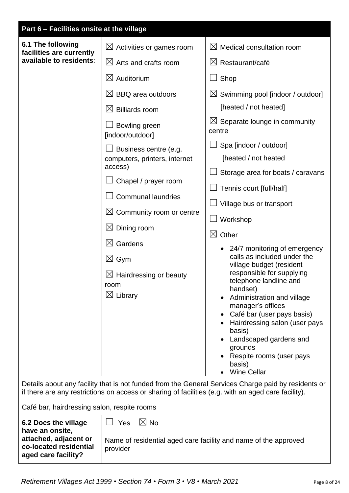| Part 6 - Facilities onsite at the village                                                                                                                                                                                 |                                                                                                                                                                                                                                                                                                                                                                                                                                                                                                                    |                                                                                                                                                                                                                                                                                                                                                                                                                                                                                                                                                                                                                                                                                                                                                                                                                                                                                                 |  |
|---------------------------------------------------------------------------------------------------------------------------------------------------------------------------------------------------------------------------|--------------------------------------------------------------------------------------------------------------------------------------------------------------------------------------------------------------------------------------------------------------------------------------------------------------------------------------------------------------------------------------------------------------------------------------------------------------------------------------------------------------------|-------------------------------------------------------------------------------------------------------------------------------------------------------------------------------------------------------------------------------------------------------------------------------------------------------------------------------------------------------------------------------------------------------------------------------------------------------------------------------------------------------------------------------------------------------------------------------------------------------------------------------------------------------------------------------------------------------------------------------------------------------------------------------------------------------------------------------------------------------------------------------------------------|--|
| 6.1 The following<br>facilities are currently<br>available to residents:                                                                                                                                                  | $\boxtimes$ Activities or games room<br>$\boxtimes$ Arts and crafts room<br>$\boxtimes$ Auditorium<br>$\boxtimes$ BBQ area outdoors<br>$\boxtimes$ Billiards room<br>Bowling green<br>[indoor/outdoor]<br>Business centre (e.g.<br>computers, printers, internet<br>access)<br>Chapel / prayer room<br><b>Communal laundries</b><br>$\boxtimes$ Community room or centre<br>$\boxtimes$ Dining room<br>$\boxtimes$ Gardens<br>$\boxtimes$ Gym<br>$\boxtimes$ Hairdressing or beauty<br>room<br>$\boxtimes$ Library | $\boxtimes$ Medical consultation room<br>$\boxtimes$ Restaurant/café<br>Shop<br>$\boxtimes$ Swimming pool [indoor / outdoor]<br>[heated $/$ not heated]<br>$\boxtimes$ Separate lounge in community<br>centre<br>Spa [indoor / outdoor]<br>[heated / not heated<br>Storage area for boats / caravans<br>Tennis court [full/half]<br>Village bus or transport<br>Workshop<br>$\boxtimes$ Other<br>24/7 monitoring of emergency<br>calls as included under the<br>village budget (resident<br>responsible for supplying<br>telephone landline and<br>handset)<br>Administration and village<br>manager's offices<br>Café bar (user pays basis)<br>Hairdressing salon (user pays<br>basis)<br>Landscaped gardens and<br>grounds<br>Respite rooms (user pays<br>basis)<br><b>Wine Cellar</b><br>Details about any facility that is not funded from the General Services Charge paid by residents or |  |
|                                                                                                                                                                                                                           | if there are any restrictions on access or sharing of facilities (e.g. with an aged care facility).                                                                                                                                                                                                                                                                                                                                                                                                                |                                                                                                                                                                                                                                                                                                                                                                                                                                                                                                                                                                                                                                                                                                                                                                                                                                                                                                 |  |
| Café bar, hairdressing salon, respite rooms                                                                                                                                                                               |                                                                                                                                                                                                                                                                                                                                                                                                                                                                                                                    |                                                                                                                                                                                                                                                                                                                                                                                                                                                                                                                                                                                                                                                                                                                                                                                                                                                                                                 |  |
| $\boxtimes$ No<br>6.2 Does the village<br>Yes<br>have an onsite,<br>attached, adjacent or<br>Name of residential aged care facility and name of the approved<br>co-located residential<br>provider<br>aged care facility? |                                                                                                                                                                                                                                                                                                                                                                                                                                                                                                                    |                                                                                                                                                                                                                                                                                                                                                                                                                                                                                                                                                                                                                                                                                                                                                                                                                                                                                                 |  |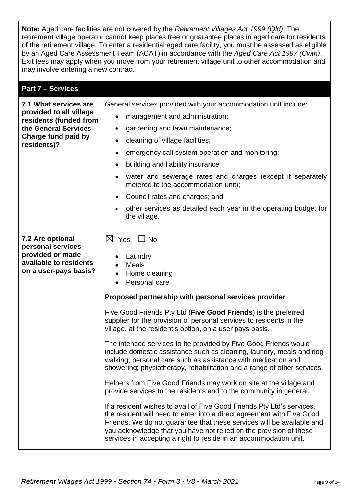**Note:** Aged care facilities are not covered by the *Retirement Villages Act 1999 (Qld).* The retirement village operator cannot keep places free or guarantee places in aged care for residents of the retirement village. To enter a residential aged care facility, you must be assessed as eligible by an Aged Care Assessment Team (ACAT) in accordance with the *Aged Care Act 1997 (Cwth)*. Exit fees may apply when you move from your retirement village unit to other accommodation and may involve entering a new contract.

| <b>Part 7 - Services</b>                                                                                                                 |                                                                                                                                                                                                                                                                                                                                                                                                                                                                                                                                                                                                                                                                                                                                                                                                                                                                                                                                                                                                                                                                                                                                                                                 |
|------------------------------------------------------------------------------------------------------------------------------------------|---------------------------------------------------------------------------------------------------------------------------------------------------------------------------------------------------------------------------------------------------------------------------------------------------------------------------------------------------------------------------------------------------------------------------------------------------------------------------------------------------------------------------------------------------------------------------------------------------------------------------------------------------------------------------------------------------------------------------------------------------------------------------------------------------------------------------------------------------------------------------------------------------------------------------------------------------------------------------------------------------------------------------------------------------------------------------------------------------------------------------------------------------------------------------------|
| 7.1 What services are<br>provided to all village<br>residents (funded from<br>the General Services<br>Charge fund paid by<br>residents)? | General services provided with your accommodation unit include:<br>management and administration;<br>٠<br>gardening and lawn maintenance;<br>$\bullet$<br>cleaning of village facilities;<br>٠<br>emergency call system operation and monitoring;<br>building and liability insurance<br>٠<br>water and sewerage rates and charges (except if separately<br>metered to the accommodation unit);<br>Council rates and charges; and<br>$\bullet$<br>other services as detailed each year in the operating budget for<br>$\bullet$<br>the village.                                                                                                                                                                                                                                                                                                                                                                                                                                                                                                                                                                                                                                 |
| 7.2 Are optional<br>personal services<br>provided or made<br>available to residents<br>on a user-pays basis?                             | $\boxtimes$ Yes<br>$\Box$ No<br>Laundry<br><b>Meals</b><br>$\bullet$<br>Home cleaning<br>Personal care<br>Proposed partnership with personal services provider<br>Five Good Friends Pty Ltd (Five Good Friends) is the preferred<br>supplier for the provision of personal services to residents in the<br>village, at the resident's option, on a user pays basis.<br>The intended services to be provided by Five Good Friends would<br>include domestic assistance such as cleaning, laundry, meals and dog<br>walking; personal care such as assistance with medication and<br>showering; physiotherapy, rehabilitation and a range of other services.<br>Helpers from Five Good Friends may work on site at the village and<br>provide services to the residents and to the community in general.<br>If a resident wishes to avail of Five Good Friends Pty Ltd's services,<br>the resident will need to enter into a direct agreement with Five Good<br>Friends. We do not guarantee that these services will be available and<br>you acknowledge that you have not relied on the provision of these<br>services in accepting a right to reside in an accommodation unit. |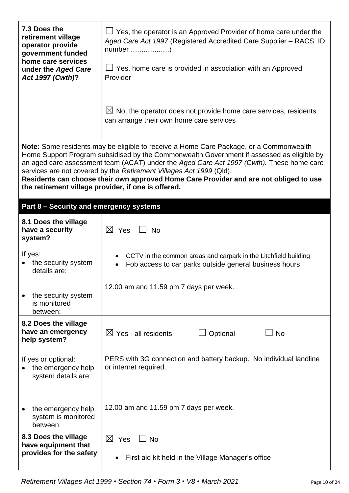| 7.3 Does the<br>retirement village<br>operator provide<br>government funded<br>home care services<br>under the Aged Care<br>Act 1997 (Cwth)? | $\Box$ Yes, the operator is an Approved Provider of home care under the<br>Aged Care Act 1997 (Registered Accredited Care Supplier – RACS ID<br>$\Box$ Yes, home care is provided in association with an Approved<br>Provider                                                                                                                                                                                                                          |  |  |  |
|----------------------------------------------------------------------------------------------------------------------------------------------|--------------------------------------------------------------------------------------------------------------------------------------------------------------------------------------------------------------------------------------------------------------------------------------------------------------------------------------------------------------------------------------------------------------------------------------------------------|--|--|--|
|                                                                                                                                              | $\boxtimes$ No, the operator does not provide home care services, residents<br>can arrange their own home care services                                                                                                                                                                                                                                                                                                                                |  |  |  |
| the retirement village provider, if one is offered.                                                                                          | <b>Note:</b> Some residents may be eligible to receive a Home Care Package, or a Commonwealth<br>Home Support Program subsidised by the Commonwealth Government if assessed as eligible by<br>an aged care assessment team (ACAT) under the Aged Care Act 1997 (Cwth). These home care<br>services are not covered by the Retirement Villages Act 1999 (Qld).<br>Residents can choose their own approved Home Care Provider and are not obliged to use |  |  |  |
| Part 8 - Security and emergency systems                                                                                                      |                                                                                                                                                                                                                                                                                                                                                                                                                                                        |  |  |  |
| 8.1 Does the village<br>have a security<br>system?                                                                                           | $\times$ Yes<br><b>No</b>                                                                                                                                                                                                                                                                                                                                                                                                                              |  |  |  |
| If yes:<br>the security system<br>details are:                                                                                               | CCTV in the common areas and carpark in the Litchfield building<br>$\bullet$<br>Fob access to car parks outside general business hours<br>$\bullet$                                                                                                                                                                                                                                                                                                    |  |  |  |
| the security system<br>is monitored<br>between:                                                                                              | 12.00 am and 11.59 pm 7 days per week.                                                                                                                                                                                                                                                                                                                                                                                                                 |  |  |  |
| 8.2 Does the village<br>have an emergency<br>help system?                                                                                    | $\boxtimes$ Yes - all residents<br>Optional<br><b>No</b>                                                                                                                                                                                                                                                                                                                                                                                               |  |  |  |
| If yes or optional:<br>the emergency help<br>system details are:                                                                             | PERS with 3G connection and battery backup. No individual landline<br>or internet required.                                                                                                                                                                                                                                                                                                                                                            |  |  |  |
| the emergency help<br>system is monitored<br>between:                                                                                        | 12.00 am and 11.59 pm 7 days per week.                                                                                                                                                                                                                                                                                                                                                                                                                 |  |  |  |
| 8.3 Does the village<br>have equipment that<br>provides for the safety                                                                       | $\boxtimes$ Yes<br><b>No</b><br>First aid kit held in the Village Manager's office<br>$\bullet$                                                                                                                                                                                                                                                                                                                                                        |  |  |  |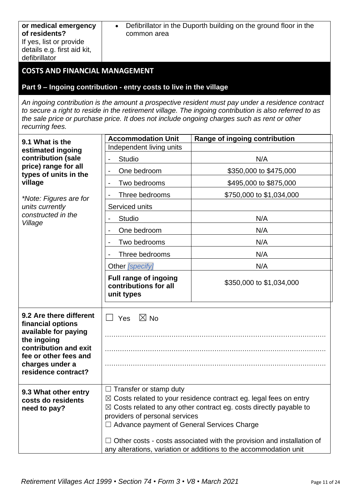| If yes, list or provide<br>details e.g. first aid kit,<br>defibrillator                                                                                                         |                                                                                                                      |                                                                                                                                                                                                                                                                                                                    |  |  |
|---------------------------------------------------------------------------------------------------------------------------------------------------------------------------------|----------------------------------------------------------------------------------------------------------------------|--------------------------------------------------------------------------------------------------------------------------------------------------------------------------------------------------------------------------------------------------------------------------------------------------------------------|--|--|
| <b>COSTS AND FINANCIAL MANAGEMENT</b>                                                                                                                                           |                                                                                                                      |                                                                                                                                                                                                                                                                                                                    |  |  |
|                                                                                                                                                                                 | Part 9 - Ingoing contribution - entry costs to live in the village                                                   |                                                                                                                                                                                                                                                                                                                    |  |  |
| recurring fees.                                                                                                                                                                 |                                                                                                                      | An ingoing contribution is the amount a prospective resident must pay under a residence contract<br>to secure a right to reside in the retirement village. The ingoing contribution is also referred to as<br>the sale price or purchase price. It does not include ongoing charges such as rent or other          |  |  |
| 9.1 What is the                                                                                                                                                                 | <b>Accommodation Unit</b>                                                                                            | Range of ingoing contribution                                                                                                                                                                                                                                                                                      |  |  |
| estimated ingoing                                                                                                                                                               | Independent living units                                                                                             |                                                                                                                                                                                                                                                                                                                    |  |  |
| contribution (sale<br>price) range for all                                                                                                                                      | <b>Studio</b>                                                                                                        | N/A                                                                                                                                                                                                                                                                                                                |  |  |
| types of units in the                                                                                                                                                           | One bedroom                                                                                                          | \$350,000 to \$475,000                                                                                                                                                                                                                                                                                             |  |  |
| village                                                                                                                                                                         | Two bedrooms<br>$\overline{\phantom{a}}$                                                                             | \$495,000 to \$875,000                                                                                                                                                                                                                                                                                             |  |  |
| *Note: Figures are for                                                                                                                                                          | Three bedrooms                                                                                                       | \$750,000 to \$1,034,000                                                                                                                                                                                                                                                                                           |  |  |
| units currently<br>constructed in the                                                                                                                                           | Serviced units                                                                                                       |                                                                                                                                                                                                                                                                                                                    |  |  |
| Village                                                                                                                                                                         | Studio                                                                                                               | N/A                                                                                                                                                                                                                                                                                                                |  |  |
|                                                                                                                                                                                 | One bedroom                                                                                                          | N/A                                                                                                                                                                                                                                                                                                                |  |  |
|                                                                                                                                                                                 | Two bedrooms                                                                                                         | N/A                                                                                                                                                                                                                                                                                                                |  |  |
|                                                                                                                                                                                 | Three bedrooms                                                                                                       | N/A                                                                                                                                                                                                                                                                                                                |  |  |
|                                                                                                                                                                                 | Other [specify]                                                                                                      | N/A                                                                                                                                                                                                                                                                                                                |  |  |
|                                                                                                                                                                                 | Full range of ingoing<br>contributions for all<br>unit types                                                         | \$350,000 to \$1,034,000                                                                                                                                                                                                                                                                                           |  |  |
| 9.2 Are there different<br>financial options<br>available for paying<br>the ingoing<br>contribution and exit<br>fee or other fees and<br>charges under a<br>residence contract? | $\boxtimes$ No<br>Yes                                                                                                |                                                                                                                                                                                                                                                                                                                    |  |  |
| 9.3 What other entry<br>costs do residents<br>need to pay?                                                                                                                      | $\Box$ Transfer or stamp duty<br>providers of personal services<br>$\Box$ Advance payment of General Services Charge | $\boxtimes$ Costs related to your residence contract eg. legal fees on entry<br>$\boxtimes$ Costs related to any other contract eg. costs directly payable to<br>$\Box$ Other costs - costs associated with the provision and installation of<br>any alterations, variation or additions to the accommodation unit |  |  |

common area

• Defibrillator in the Duporth building on the ground floor in the

**or medical emergency** 

**of residents?**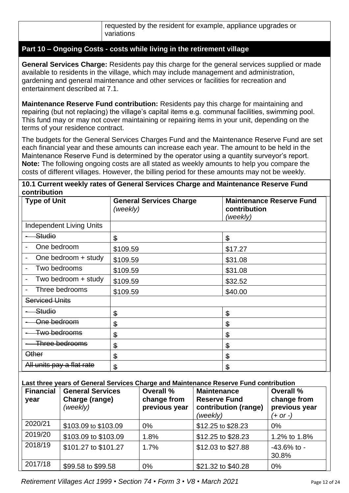## **Part 10 – Ongoing Costs - costs while living in the retirement village**

**General Services Charge:** Residents pay this charge for the general services supplied or made available to residents in the village, which may include management and administration, gardening and general maintenance and other services or facilities for recreation and entertainment described at 7.1.

**Maintenance Reserve Fund contribution:** Residents pay this charge for maintaining and repairing (but not replacing) the village's capital items e.g. communal facilities, swimming pool. This fund may or may not cover maintaining or repairing items in your unit, depending on the terms of your residence contract.

The budgets for the General Services Charges Fund and the Maintenance Reserve Fund are set each financial year and these amounts can increase each year. The amount to be held in the Maintenance Reserve Fund is determined by the operator using a quantity surveyor's report. **Note:** The following ongoing costs are all stated as weekly amounts to help you compare the costs of different villages. However, the billing period for these amounts may not be weekly.

#### **10.1 Current weekly rates of General Services Charge and Maintenance Reserve Fund contribution**

| <b>Type of Unit</b>                                                                   |                                 | (weekly)      | <b>General Services Charge</b> |                                                         | contribution<br>(weekly) | <b>Maintenance Reserve Fund</b>            |  |
|---------------------------------------------------------------------------------------|---------------------------------|---------------|--------------------------------|---------------------------------------------------------|--------------------------|--------------------------------------------|--|
|                                                                                       | <b>Independent Living Units</b> |               |                                |                                                         |                          |                                            |  |
| Studio                                                                                |                                 | $\mathbf{\$}$ |                                |                                                         | \$                       |                                            |  |
| One bedroom                                                                           |                                 | \$109.59      |                                |                                                         | \$17.27                  |                                            |  |
|                                                                                       | One bedroom + study             | \$109.59      |                                |                                                         | \$31.08                  |                                            |  |
| Two bedrooms                                                                          |                                 | \$109.59      |                                |                                                         | \$31.08                  |                                            |  |
|                                                                                       | Two bedroom + study             | \$109.59      |                                |                                                         | \$32.52                  |                                            |  |
|                                                                                       | Three bedrooms                  | \$109.59      |                                |                                                         | \$40.00                  |                                            |  |
| <b>Serviced Units</b>                                                                 |                                 |               |                                |                                                         |                          |                                            |  |
| Studio                                                                                |                                 | \$            |                                |                                                         | \$                       |                                            |  |
| One bedroom                                                                           |                                 | \$            | \$                             |                                                         |                          |                                            |  |
| Two bedrooms                                                                          |                                 | \$            |                                |                                                         | \$                       |                                            |  |
|                                                                                       | Three bedrooms                  | $\$\$         |                                |                                                         | \$                       |                                            |  |
| <b>Other</b>                                                                          |                                 | $\frac{1}{2}$ |                                |                                                         | \$                       |                                            |  |
|                                                                                       | All units pay a flat rate       | $\mathbf{\$}$ | \$                             |                                                         |                          |                                            |  |
| Last three years of General Services Charge and Maintenance Reserve Fund contribution |                                 |               |                                |                                                         |                          |                                            |  |
| <b>Financial</b>                                                                      | <b>General Services</b>         |               | Overall %                      | <b>Maintenance</b>                                      |                          | Overall %                                  |  |
| year                                                                                  | Charge (range)<br>(weekly)      |               | change from<br>previous year   | <b>Reserve Fund</b><br>contribution (range)<br>(weekly) |                          | change from<br>previous year<br>$(+ or -)$ |  |
| 2020/21                                                                               | \$103.09 to \$103.09            |               | 0%                             | \$12.25 to \$28.23                                      |                          | 0%                                         |  |
| 2019/20                                                                               | \$103.09 to \$103.09            |               | 1.8%                           | \$12.25 to \$28.23                                      |                          | 1.2% to 1.8%                               |  |
| 2018/19                                                                               | \$101.27 to \$101.27            |               | 1.7%                           | \$12.03 to \$27.88                                      |                          | $-43.6\%$ to $-$                           |  |

 $2017/18$  \$99.58 to \$99.58 0% \$21.32 to \$40.28 0%

30.8%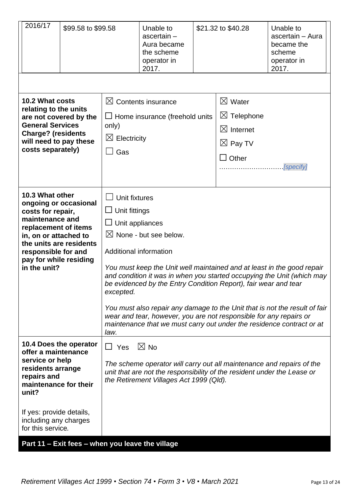| 2016/17                                                                                                                                                                                                                       | \$99.58 to \$99.58                                                                                                                                                                                                                                    |                                                                                                                | Unable to<br>$ascertain-$<br>Aura became<br>the scheme<br>operator in<br>2017.                                                                                             | \$21.32 to \$40.28                                                                                       | Unable to<br>ascertain - Aura<br>became the<br>scheme<br>operator in<br>2017.                                                                                                                                                                                                                           |
|-------------------------------------------------------------------------------------------------------------------------------------------------------------------------------------------------------------------------------|-------------------------------------------------------------------------------------------------------------------------------------------------------------------------------------------------------------------------------------------------------|----------------------------------------------------------------------------------------------------------------|----------------------------------------------------------------------------------------------------------------------------------------------------------------------------|----------------------------------------------------------------------------------------------------------|---------------------------------------------------------------------------------------------------------------------------------------------------------------------------------------------------------------------------------------------------------------------------------------------------------|
| 10.2 What costs<br>relating to the units<br>are not covered by the<br><b>General Services</b><br><b>Charge? (residents</b><br>will need to pay these<br>costs separately)                                                     |                                                                                                                                                                                                                                                       | only)<br>$\boxtimes$ Electricity<br>Gas                                                                        | $\boxtimes$ Contents insurance<br>$\Box$ Home insurance (freehold units                                                                                                    | $\boxtimes$ Water<br>$\boxtimes$ Telephone<br>$\boxtimes$ Internet<br>$\boxtimes$ Pay TV<br>$\Box$ Other | [specify]                                                                                                                                                                                                                                                                                               |
| 10.3 What other<br>ongoing or occasional<br>costs for repair,<br>maintenance and<br>replacement of items<br>in, on or attached to<br>the units are residents<br>responsible for and<br>pay for while residing<br>in the unit? |                                                                                                                                                                                                                                                       | Unit fixtures<br>$\Box$ Unit fittings<br>$\Box$ Unit appliances<br>Additional information<br>excepted.<br>law. | $\boxtimes$ None - but see below.<br>be evidenced by the Entry Condition Report), fair wear and tear<br>wear and tear, however, you are not responsible for any repairs or |                                                                                                          | You must keep the Unit well maintained and at least in the good repair<br>and condition it was in when you started occupying the Unit (which may<br>You must also repair any damage to the Unit that is not the result of fair<br>maintenance that we must carry out under the residence contract or at |
| offer a maintenance<br>service or help<br>residents arrange<br>repairs and<br>maintenance for their<br>unit?<br>If yes: provide details,                                                                                      | 10.4 Does the operator<br>$\boxtimes$ No<br>$\Box$ Yes<br>The scheme operator will carry out all maintenance and repairs of the<br>unit that are not the responsibility of the resident under the Lease or<br>the Retirement Villages Act 1999 (Qld). |                                                                                                                |                                                                                                                                                                            |                                                                                                          |                                                                                                                                                                                                                                                                                                         |
| including any charges<br>for this service.<br>Part 11 - Exit fees - when you leave the village                                                                                                                                |                                                                                                                                                                                                                                                       |                                                                                                                |                                                                                                                                                                            |                                                                                                          |                                                                                                                                                                                                                                                                                                         |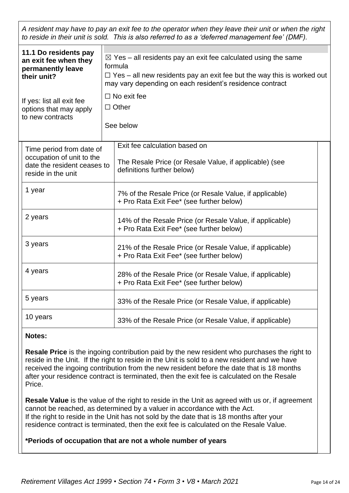*A resident may have to pay an exit fee to the operator when they leave their unit or when the right to reside in their unit is sold. This is also referred to as a 'deferred management fee' (DMF).*

| 11.1 Do residents pay<br>an exit fee when they<br>permanently leave<br>their unit?                         |  | $\boxtimes$ Yes – all residents pay an exit fee calculated using the same<br>formula<br>$\Box$ Yes – all new residents pay an exit fee but the way this is worked out<br>may vary depending on each resident's residence contract |  |
|------------------------------------------------------------------------------------------------------------|--|-----------------------------------------------------------------------------------------------------------------------------------------------------------------------------------------------------------------------------------|--|
| If yes: list all exit fee<br>options that may apply<br>to new contracts                                    |  | $\Box$ No exit fee<br>$\Box$ Other<br>See below                                                                                                                                                                                   |  |
| Time period from date of<br>occupation of unit to the<br>date the resident ceases to<br>reside in the unit |  | Exit fee calculation based on<br>The Resale Price (or Resale Value, if applicable) (see<br>definitions further below)                                                                                                             |  |
| 1 year                                                                                                     |  | 7% of the Resale Price (or Resale Value, if applicable)<br>+ Pro Rata Exit Fee* (see further below)                                                                                                                               |  |
| 2 years                                                                                                    |  | 14% of the Resale Price (or Resale Value, if applicable)<br>+ Pro Rata Exit Fee* (see further below)                                                                                                                              |  |
| 3 years                                                                                                    |  | 21% of the Resale Price (or Resale Value, if applicable)<br>+ Pro Rata Exit Fee* (see further below)                                                                                                                              |  |
| 4 years                                                                                                    |  | 28% of the Resale Price (or Resale Value, if applicable)<br>+ Pro Rata Exit Fee* (see further below)                                                                                                                              |  |
| 5 years                                                                                                    |  | 33% of the Resale Price (or Resale Value, if applicable)                                                                                                                                                                          |  |
| 10 years                                                                                                   |  | 33% of the Resale Price (or Resale Value, if applicable)                                                                                                                                                                          |  |

## **Notes:**

**Resale Price** is the ingoing contribution paid by the new resident who purchases the right to reside in the Unit. If the right to reside in the Unit is sold to a new resident and we have received the ingoing contribution from the new resident before the date that is 18 months after your residence contract is terminated, then the exit fee is calculated on the Resale Price.

**Resale Value** is the value of the right to reside in the Unit as agreed with us or, if agreement cannot be reached, as determined by a valuer in accordance with the Act. If the right to reside in the Unit has not sold by the date that is 18 months after your residence contract is terminated, then the exit fee is calculated on the Resale Value.

## **\*Periods of occupation that are not a whole number of years**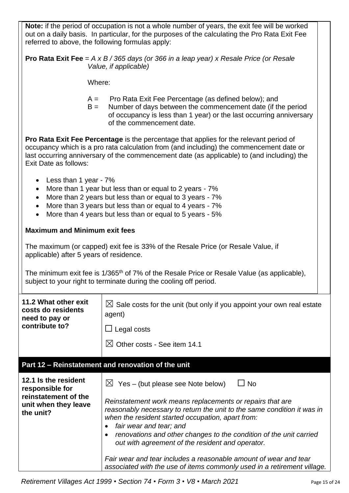**Note:** if the period of occupation is not a whole number of years, the exit fee will be worked out on a daily basis. In particular, for the purposes of the calculating the Pro Rata Exit Fee referred to above, the following formulas apply:

**Pro Rata Exit Fee** = *A x B / 365 days (or 366 in a leap year) x Resale Price (or Resale Value, if applicable)*

Where:

- A = Pro Rata Exit Fee Percentage (as defined below); and
- B = Number of days between the commencement date (if the period of occupancy is less than 1 year) or the last occurring anniversary of the commencement date.

**Pro Rata Exit Fee Percentage** is the percentage that applies for the relevant period of occupancy which is a pro rata calculation from (and including) the commencement date or last occurring anniversary of the commencement date (as applicable) to (and including) the Exit Date as follows:

- Less than 1 year 7%
- More than 1 year but less than or equal to 2 years 7%
- More than 2 years but less than or equal to 3 years 7%
- More than 3 years but less than or equal to 4 years 7%
- More than 4 years but less than or equal to 5 years 5%

## **Maximum and Minimum exit fees**

The maximum (or capped) exit fee is 33% of the Resale Price (or Resale Value, if applicable) after 5 years of residence.

The minimum exit fee is 1/365<sup>th</sup> of 7% of the Resale Price or Resale Value (as applicable), subject to your right to terminate during the cooling off period.

| 11.2 What other exit<br>costs do residents<br>need to pay or<br>contribute to?                       | $\boxtimes$ Sale costs for the unit (but only if you appoint your own real estate<br>agent)<br>$\Box$ Legal costs<br>$\boxtimes$ Other costs - See item 14.1                                                                                                                                                                                                                                                                                                                                                                                                  |
|------------------------------------------------------------------------------------------------------|---------------------------------------------------------------------------------------------------------------------------------------------------------------------------------------------------------------------------------------------------------------------------------------------------------------------------------------------------------------------------------------------------------------------------------------------------------------------------------------------------------------------------------------------------------------|
|                                                                                                      | Part 12 - Reinstatement and renovation of the unit                                                                                                                                                                                                                                                                                                                                                                                                                                                                                                            |
| 12.1 Is the resident<br>responsible for<br>reinstatement of the<br>unit when they leave<br>the unit? | $\boxtimes$ Yes – (but please see Note below)<br>$\sqcup$ No<br>Reinstatement work means replacements or repairs that are<br>reasonably necessary to return the unit to the same condition it was in<br>when the resident started occupation, apart from:<br>fair wear and tear; and<br>renovations and other changes to the condition of the unit carried<br>out with agreement of the resident and operator.<br>Fair wear and tear includes a reasonable amount of wear and tear<br>associated with the use of items commonly used in a retirement village. |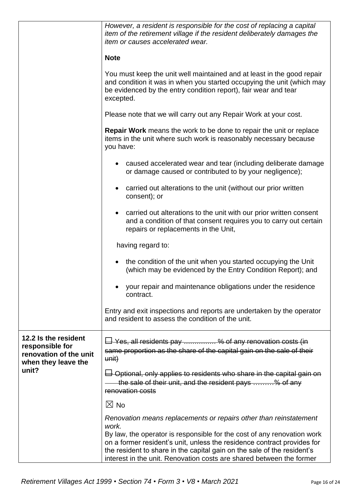|                                                                                          | However, a resident is responsible for the cost of replacing a capital<br>item of the retirement village if the resident deliberately damages the<br>item or causes accelerated wear.                                                                                                                       |  |  |  |
|------------------------------------------------------------------------------------------|-------------------------------------------------------------------------------------------------------------------------------------------------------------------------------------------------------------------------------------------------------------------------------------------------------------|--|--|--|
|                                                                                          | <b>Note</b>                                                                                                                                                                                                                                                                                                 |  |  |  |
|                                                                                          | You must keep the unit well maintained and at least in the good repair<br>and condition it was in when you started occupying the unit (which may<br>be evidenced by the entry condition report), fair wear and tear<br>excepted.                                                                            |  |  |  |
|                                                                                          | Please note that we will carry out any Repair Work at your cost.                                                                                                                                                                                                                                            |  |  |  |
|                                                                                          | <b>Repair Work</b> means the work to be done to repair the unit or replace<br>items in the unit where such work is reasonably necessary because<br>you have:                                                                                                                                                |  |  |  |
|                                                                                          | caused accelerated wear and tear (including deliberate damage<br>or damage caused or contributed to by your negligence);                                                                                                                                                                                    |  |  |  |
|                                                                                          | carried out alterations to the unit (without our prior written<br>consent); or                                                                                                                                                                                                                              |  |  |  |
|                                                                                          | carried out alterations to the unit with our prior written consent<br>$\bullet$<br>and a condition of that consent requires you to carry out certain<br>repairs or replacements in the Unit,                                                                                                                |  |  |  |
|                                                                                          | having regard to:                                                                                                                                                                                                                                                                                           |  |  |  |
|                                                                                          | the condition of the unit when you started occupying the Unit<br>(which may be evidenced by the Entry Condition Report); and                                                                                                                                                                                |  |  |  |
|                                                                                          | your repair and maintenance obligations under the residence<br>contract.                                                                                                                                                                                                                                    |  |  |  |
|                                                                                          | Entry and exit inspections and reports are undertaken by the operator<br>and resident to assess the condition of the unit.                                                                                                                                                                                  |  |  |  |
| 12.2 Is the resident<br>responsible for<br>renovation of the unit<br>when they leave the | $\overline{\Box}$ Yes, all residents pay % of any renovation costs (in<br>same proportion as the share of the capital gain on the sale of their<br>unit)                                                                                                                                                    |  |  |  |
| unit?                                                                                    | $\Box$ Optional, only applies to residents who share in the capital gain on<br>the sale of their unit, and the resident pays % of any<br>renovation costs                                                                                                                                                   |  |  |  |
|                                                                                          | $\boxtimes$ No                                                                                                                                                                                                                                                                                              |  |  |  |
|                                                                                          | Renovation means replacements or repairs other than reinstatement<br>work.<br>By law, the operator is responsible for the cost of any renovation work<br>on a former resident's unit, unless the residence contract provides for<br>the resident to share in the capital gain on the sale of the resident's |  |  |  |
|                                                                                          | interest in the unit. Renovation costs are shared between the former                                                                                                                                                                                                                                        |  |  |  |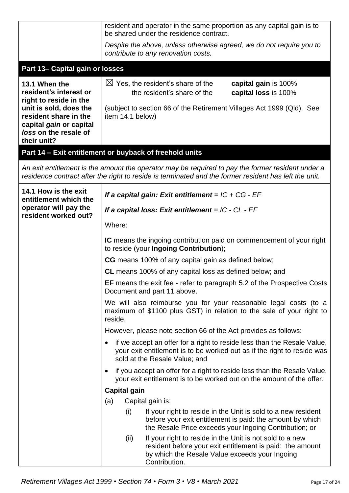|                                                                                                                                                                                         | resident and operator in the same proportion as any capital gain is to<br>be shared under the residence contract.                                                                                                        |  |  |  |
|-----------------------------------------------------------------------------------------------------------------------------------------------------------------------------------------|--------------------------------------------------------------------------------------------------------------------------------------------------------------------------------------------------------------------------|--|--|--|
|                                                                                                                                                                                         | Despite the above, unless otherwise agreed, we do not require you to<br>contribute to any renovation costs.                                                                                                              |  |  |  |
| Part 13- Capital gain or losses                                                                                                                                                         |                                                                                                                                                                                                                          |  |  |  |
| 13.1 When the<br>resident's interest or<br>right to reside in the<br>unit is sold, does the<br>resident share in the<br>capital gain or capital<br>loss on the resale of<br>their unit? | $\boxtimes$ Yes, the resident's share of the<br>capital gain is 100%<br>the resident's share of the<br>capital loss is 100%<br>(subject to section 66 of the Retirement Villages Act 1999 (Qld). See<br>item 14.1 below) |  |  |  |
|                                                                                                                                                                                         | Part 14 - Exit entitlement or buyback of freehold units                                                                                                                                                                  |  |  |  |
|                                                                                                                                                                                         | An exit entitlement is the amount the operator may be required to pay the former resident under a<br>residence contract after the right to reside is terminated and the former resident has left the unit.               |  |  |  |
| 14.1 How is the exit<br>entitlement which the<br>operator will pay the                                                                                                                  | If a capital gain: Exit entitlement = $IC$ + $CG$ - $EF$<br>If a capital loss: Exit entitlement = $IC$ - $CL$ - $EF$                                                                                                     |  |  |  |
| resident worked out?                                                                                                                                                                    | Where:                                                                                                                                                                                                                   |  |  |  |
|                                                                                                                                                                                         | <b>IC</b> means the ingoing contribution paid on commencement of your right<br>to reside (your Ingoing Contribution);                                                                                                    |  |  |  |
|                                                                                                                                                                                         | <b>CG</b> means 100% of any capital gain as defined below;                                                                                                                                                               |  |  |  |
|                                                                                                                                                                                         | <b>CL</b> means 100% of any capital loss as defined below; and                                                                                                                                                           |  |  |  |
|                                                                                                                                                                                         | <b>EF</b> means the exit fee - refer to paragraph 5.2 of the Prospective Costs<br>Document and part 11 above.                                                                                                            |  |  |  |
|                                                                                                                                                                                         | We will also reimburse you for your reasonable legal costs (to a<br>maximum of \$1100 plus GST) in relation to the sale of your right to<br>reside.                                                                      |  |  |  |
|                                                                                                                                                                                         | However, please note section 66 of the Act provides as follows:                                                                                                                                                          |  |  |  |
|                                                                                                                                                                                         | if we accept an offer for a right to reside less than the Resale Value,<br>your exit entitlement is to be worked out as if the right to reside was<br>sold at the Resale Value; and                                      |  |  |  |
|                                                                                                                                                                                         | if you accept an offer for a right to reside less than the Resale Value,<br>your exit entitlement is to be worked out on the amount of the offer.                                                                        |  |  |  |
|                                                                                                                                                                                         | <b>Capital gain</b>                                                                                                                                                                                                      |  |  |  |
|                                                                                                                                                                                         | (a)<br>Capital gain is:                                                                                                                                                                                                  |  |  |  |
|                                                                                                                                                                                         | If your right to reside in the Unit is sold to a new resident<br>(i)<br>before your exit entitlement is paid: the amount by which<br>the Resale Price exceeds your Ingoing Contribution; or                              |  |  |  |
|                                                                                                                                                                                         | If your right to reside in the Unit is not sold to a new<br>(ii)<br>resident before your exit entitlement is paid: the amount<br>by which the Resale Value exceeds your Ingoing<br>Contribution.                         |  |  |  |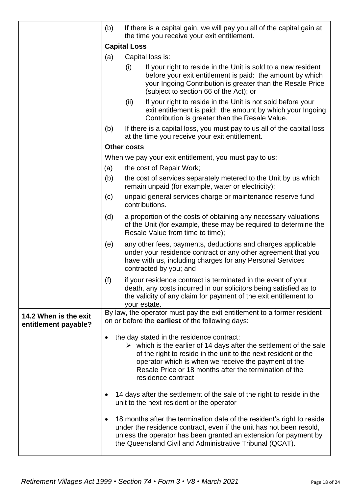|                                               | (b) | If there is a capital gain, we will pay you all of the capital gain at<br>the time you receive your exit entitlement.                                                                                                                                                                                                                    |  |
|-----------------------------------------------|-----|------------------------------------------------------------------------------------------------------------------------------------------------------------------------------------------------------------------------------------------------------------------------------------------------------------------------------------------|--|
|                                               |     | <b>Capital Loss</b>                                                                                                                                                                                                                                                                                                                      |  |
|                                               | (a) | Capital loss is:                                                                                                                                                                                                                                                                                                                         |  |
|                                               |     | (i)<br>If your right to reside in the Unit is sold to a new resident<br>before your exit entitlement is paid: the amount by which<br>your Ingoing Contribution is greater than the Resale Price<br>(subject to section 66 of the Act); or                                                                                                |  |
|                                               |     | (ii)<br>If your right to reside in the Unit is not sold before your<br>exit entitlement is paid: the amount by which your Ingoing<br>Contribution is greater than the Resale Value.                                                                                                                                                      |  |
|                                               | (b) | If there is a capital loss, you must pay to us all of the capital loss<br>at the time you receive your exit entitlement.                                                                                                                                                                                                                 |  |
|                                               |     | <b>Other costs</b>                                                                                                                                                                                                                                                                                                                       |  |
|                                               |     | When we pay your exit entitlement, you must pay to us:                                                                                                                                                                                                                                                                                   |  |
|                                               | (a) | the cost of Repair Work;                                                                                                                                                                                                                                                                                                                 |  |
|                                               | (b) | the cost of services separately metered to the Unit by us which<br>remain unpaid (for example, water or electricity);                                                                                                                                                                                                                    |  |
|                                               | (c) | unpaid general services charge or maintenance reserve fund<br>contributions.                                                                                                                                                                                                                                                             |  |
|                                               | (d) | a proportion of the costs of obtaining any necessary valuations<br>of the Unit (for example, these may be required to determine the<br>Resale Value from time to time);                                                                                                                                                                  |  |
|                                               | (e) | any other fees, payments, deductions and charges applicable<br>under your residence contract or any other agreement that you<br>have with us, including charges for any Personal Services<br>contracted by you; and                                                                                                                      |  |
|                                               | (f) | if your residence contract is terminated in the event of your<br>death, any costs incurred in our solicitors being satisfied as to<br>the validity of any claim for payment of the exit entitlement to<br>vour estate.                                                                                                                   |  |
| 14.2 When is the exit<br>entitlement payable? |     | By law, the operator must pay the exit entitlement to a former resident<br>on or before the <b>earliest</b> of the following days:                                                                                                                                                                                                       |  |
|                                               |     | the day stated in the residence contract:<br>$\triangleright$ which is the earlier of 14 days after the settlement of the sale<br>of the right to reside in the unit to the next resident or the<br>operator which is when we receive the payment of the<br>Resale Price or 18 months after the termination of the<br>residence contract |  |
|                                               |     | 14 days after the settlement of the sale of the right to reside in the<br>unit to the next resident or the operator                                                                                                                                                                                                                      |  |
|                                               |     | 18 months after the termination date of the resident's right to reside<br>under the residence contract, even if the unit has not been resold,<br>unless the operator has been granted an extension for payment by<br>the Queensland Civil and Administrative Tribunal (QCAT).                                                            |  |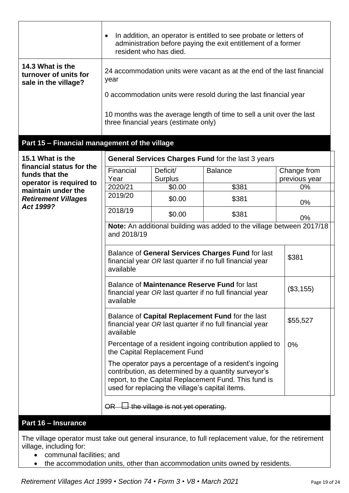|                                                                                                                                                     | resident who has died.                                                                                                                                                                                                     |                                                     | In addition, an operator is entitled to see probate or letters of<br>administration before paying the exit entitlement of a former |                              |  |
|-----------------------------------------------------------------------------------------------------------------------------------------------------|----------------------------------------------------------------------------------------------------------------------------------------------------------------------------------------------------------------------------|-----------------------------------------------------|------------------------------------------------------------------------------------------------------------------------------------|------------------------------|--|
| 14.3 What is the<br>24 accommodation units were vacant as at the end of the last financial<br>turnover of units for<br>year<br>sale in the village? |                                                                                                                                                                                                                            |                                                     |                                                                                                                                    |                              |  |
|                                                                                                                                                     |                                                                                                                                                                                                                            |                                                     | 0 accommodation units were resold during the last financial year                                                                   |                              |  |
|                                                                                                                                                     | 10 months was the average length of time to sell a unit over the last<br>three financial years (estimate only)                                                                                                             |                                                     |                                                                                                                                    |                              |  |
| Part 15 - Financial management of the village                                                                                                       |                                                                                                                                                                                                                            |                                                     |                                                                                                                                    |                              |  |
| 15.1 What is the                                                                                                                                    |                                                                                                                                                                                                                            |                                                     | General Services Charges Fund for the last 3 years                                                                                 |                              |  |
| financial status for the<br>funds that the                                                                                                          | Financial<br>Year                                                                                                                                                                                                          | Deficit/<br><b>Surplus</b>                          | <b>Balance</b>                                                                                                                     | Change from<br>previous year |  |
| operator is required to<br>maintain under the                                                                                                       | 2020/21                                                                                                                                                                                                                    | \$0.00                                              | \$381                                                                                                                              | $0\%$                        |  |
| <b>Retirement Villages</b><br>Act 1999?                                                                                                             | 2019/20                                                                                                                                                                                                                    | \$0.00                                              | \$381                                                                                                                              | 0%                           |  |
|                                                                                                                                                     | 2018/19                                                                                                                                                                                                                    | \$0.00                                              | \$381                                                                                                                              | 0%                           |  |
|                                                                                                                                                     | Note: An additional building was added to the village between 2017/18<br>and 2018/19                                                                                                                                       |                                                     |                                                                                                                                    |                              |  |
|                                                                                                                                                     | Balance of General Services Charges Fund for last<br>financial year OR last quarter if no full financial year<br>available                                                                                                 | \$381                                               |                                                                                                                                    |                              |  |
|                                                                                                                                                     | Balance of Maintenance Reserve Fund for last<br>financial year OR last quarter if no full financial year<br>available                                                                                                      | (\$3,155)                                           |                                                                                                                                    |                              |  |
|                                                                                                                                                     | Balance of Capital Replacement Fund for the last<br>\$55,527<br>financial year OR last quarter if no full financial year<br>available                                                                                      |                                                     |                                                                                                                                    |                              |  |
|                                                                                                                                                     | Percentage of a resident ingoing contribution applied to<br>the Capital Replacement Fund                                                                                                                                   | 0%                                                  |                                                                                                                                    |                              |  |
|                                                                                                                                                     | The operator pays a percentage of a resident's ingoing<br>contribution, as determined by a quantity surveyor's<br>report, to the Capital Replacement Fund. This fund is<br>used for replacing the village's capital items. |                                                     |                                                                                                                                    |                              |  |
|                                                                                                                                                     | <del>OR</del>                                                                                                                                                                                                              | $\overline{\Box}$ the village is not yet operating. |                                                                                                                                    |                              |  |

## **Part 16 – Insurance**

The village operator must take out general insurance, to full replacement value, for the retirement village, including for:

- communal facilities; and
- the accommodation units, other than accommodation units owned by residents.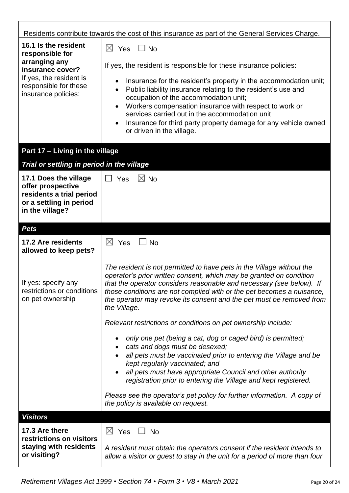| Residents contribute towards the cost of this insurance as part of the General Services Charge.                                                                    |                                                                                                                                                                                                                                                                                                                                                                                                                                                                                                                                                 |  |  |  |
|--------------------------------------------------------------------------------------------------------------------------------------------------------------------|-------------------------------------------------------------------------------------------------------------------------------------------------------------------------------------------------------------------------------------------------------------------------------------------------------------------------------------------------------------------------------------------------------------------------------------------------------------------------------------------------------------------------------------------------|--|--|--|
| 16.1 Is the resident<br>responsible for<br>arranging any<br>insurance cover?<br>If yes, the resident is<br>responsible for these<br>insurance policies:            | $\boxtimes$ Yes<br>$\Box$ No<br>If yes, the resident is responsible for these insurance policies:<br>Insurance for the resident's property in the accommodation unit;<br>$\bullet$<br>Public liability insurance relating to the resident's use and<br>$\bullet$<br>occupation of the accommodation unit;<br>Workers compensation insurance with respect to work or<br>$\bullet$<br>services carried out in the accommodation unit<br>Insurance for third party property damage for any vehicle owned<br>$\bullet$<br>or driven in the village. |  |  |  |
| Part 17 - Living in the village                                                                                                                                    |                                                                                                                                                                                                                                                                                                                                                                                                                                                                                                                                                 |  |  |  |
| Trial or settling in period in the village<br>17.1 Does the village<br>offer prospective<br>residents a trial period<br>or a settling in period<br>in the village? | $\boxtimes$ No<br>$\Box$ Yes                                                                                                                                                                                                                                                                                                                                                                                                                                                                                                                    |  |  |  |
| <b>Pets</b>                                                                                                                                                        |                                                                                                                                                                                                                                                                                                                                                                                                                                                                                                                                                 |  |  |  |
| 17.2 Are residents<br>allowed to keep pets?                                                                                                                        | $\boxtimes$ Yes<br><b>No</b>                                                                                                                                                                                                                                                                                                                                                                                                                                                                                                                    |  |  |  |
| If yes: specify any<br>restrictions or conditions<br>on pet ownership                                                                                              | The resident is not permitted to have pets in the Village without the<br>operator's prior written consent, which may be granted on condition<br>that the operator considers reasonable and necessary (see below). If<br>those conditions are not complied with or the pet becomes a nuisance,<br>the operator may revoke its consent and the pet must be removed from<br>the Village.                                                                                                                                                           |  |  |  |
|                                                                                                                                                                    | Relevant restrictions or conditions on pet ownership include:                                                                                                                                                                                                                                                                                                                                                                                                                                                                                   |  |  |  |
|                                                                                                                                                                    | only one pet (being a cat, dog or caged bird) is permitted;<br>cats and dogs must be desexed;<br>$\bullet$<br>all pets must be vaccinated prior to entering the Village and be<br>kept regularly vaccinated; and<br>all pets must have appropriate Council and other authority<br>registration prior to entering the Village and kept registered.                                                                                                                                                                                               |  |  |  |
|                                                                                                                                                                    | Please see the operator's pet policy for further information. A copy of<br>the policy is available on request.                                                                                                                                                                                                                                                                                                                                                                                                                                  |  |  |  |
| <b>Visitors</b>                                                                                                                                                    |                                                                                                                                                                                                                                                                                                                                                                                                                                                                                                                                                 |  |  |  |
| 17.3 Are there<br>restrictions on visitors<br>staying with residents<br>or visiting?                                                                               | $\boxtimes$ Yes<br><b>No</b><br>A resident must obtain the operators consent if the resident intends to<br>allow a visitor or guest to stay in the unit for a period of more than four                                                                                                                                                                                                                                                                                                                                                          |  |  |  |

٦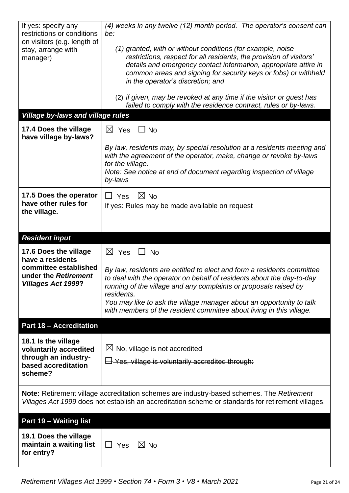| If yes: specify any<br>restrictions or conditions<br>on visitors (e.g. length of<br>stay, arrange with<br>manager)<br><b>Village by-laws and village rules</b>                                  | (4) weeks in any twelve (12) month period. The operator's consent can<br>be:<br>(1) granted, with or without conditions (for example, noise<br>restrictions, respect for all residents, the provision of visitors'<br>details and emergency contact information, appropriate attire in<br>common areas and signing for security keys or fobs) or withheld<br>in the operator's discretion; and<br>(2) if given, may be revoked at any time if the visitor or guest has<br>failed to comply with the residence contract, rules or by-laws. |  |
|-------------------------------------------------------------------------------------------------------------------------------------------------------------------------------------------------|-------------------------------------------------------------------------------------------------------------------------------------------------------------------------------------------------------------------------------------------------------------------------------------------------------------------------------------------------------------------------------------------------------------------------------------------------------------------------------------------------------------------------------------------|--|
| 17.4 Does the village                                                                                                                                                                           | $\boxtimes$ Yes<br>$\Box$ No                                                                                                                                                                                                                                                                                                                                                                                                                                                                                                              |  |
| have village by-laws?                                                                                                                                                                           |                                                                                                                                                                                                                                                                                                                                                                                                                                                                                                                                           |  |
|                                                                                                                                                                                                 | By law, residents may, by special resolution at a residents meeting and<br>with the agreement of the operator, make, change or revoke by-laws<br>for the village.                                                                                                                                                                                                                                                                                                                                                                         |  |
|                                                                                                                                                                                                 | Note: See notice at end of document regarding inspection of village<br>by-laws                                                                                                                                                                                                                                                                                                                                                                                                                                                            |  |
| 17.5 Does the operator                                                                                                                                                                          | $\boxtimes$ No<br>$\Box$ Yes                                                                                                                                                                                                                                                                                                                                                                                                                                                                                                              |  |
| have other rules for<br>the village.                                                                                                                                                            | If yes: Rules may be made available on request                                                                                                                                                                                                                                                                                                                                                                                                                                                                                            |  |
| <b>Resident input</b>                                                                                                                                                                           |                                                                                                                                                                                                                                                                                                                                                                                                                                                                                                                                           |  |
| 17.6 Does the village                                                                                                                                                                           | $\boxtimes$<br>Yes<br>$\perp$<br><b>No</b>                                                                                                                                                                                                                                                                                                                                                                                                                                                                                                |  |
| have a residents<br>committee established<br>under the Retirement<br><b>Villages Act 1999?</b>                                                                                                  | By law, residents are entitled to elect and form a residents committee<br>to deal with the operator on behalf of residents about the day-to-day<br>running of the village and any complaints or proposals raised by<br>residents.<br>You may like to ask the village manager about an opportunity to talk<br>with members of the resident committee about living in this village.                                                                                                                                                         |  |
| <b>Part 18 - Accreditation</b>                                                                                                                                                                  |                                                                                                                                                                                                                                                                                                                                                                                                                                                                                                                                           |  |
| 18.1 Is the village<br>voluntarily accredited<br>through an industry-<br>based accreditation<br>scheme?                                                                                         | $\boxtimes$ No, village is not accredited<br>$\Box$ Yes, village is voluntarily accredited through:                                                                                                                                                                                                                                                                                                                                                                                                                                       |  |
| Note: Retirement village accreditation schemes are industry-based schemes. The Retirement<br>Villages Act 1999 does not establish an accreditation scheme or standards for retirement villages. |                                                                                                                                                                                                                                                                                                                                                                                                                                                                                                                                           |  |
| Part 19 - Waiting list                                                                                                                                                                          |                                                                                                                                                                                                                                                                                                                                                                                                                                                                                                                                           |  |
| 19.1 Does the village<br>maintain a waiting list<br>for entry?                                                                                                                                  | $\boxtimes$ No<br>$\Box$ Yes                                                                                                                                                                                                                                                                                                                                                                                                                                                                                                              |  |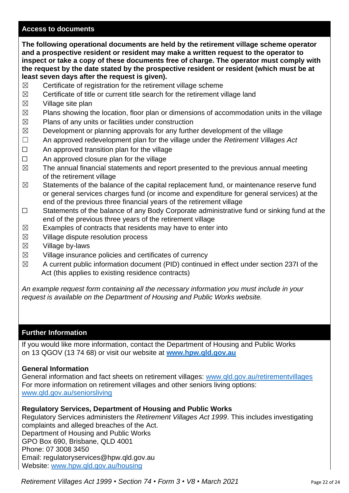#### **Access to documents**

**The following operational documents are held by the retirement village scheme operator and a prospective resident or resident may make a written request to the operator to inspect or take a copy of these documents free of charge. The operator must comply with the request by the date stated by the prospective resident or resident (which must be at least seven days after the request is given).**

- $\boxtimes$  Certificate of registration for the retirement village scheme
- $\boxtimes$  Certificate of title or current title search for the retirement village land
- $\boxtimes$  Village site plan
- $\boxtimes$  Plans showing the location, floor plan or dimensions of accommodation units in the village
- $\boxtimes$  Plans of any units or facilities under construction
- $\boxtimes$  Development or planning approvals for any further development of the village
- ☐ An approved redevelopment plan for the village under the *Retirement Villages Act*
- $\Box$  An approved transition plan for the village
- □ An approved closure plan for the village
- $\boxtimes$  The annual financial statements and report presented to the previous annual meeting of the retirement village
- $\boxtimes$  Statements of the balance of the capital replacement fund, or maintenance reserve fund or general services charges fund (or income and expenditure for general services) at the end of the previous three financial years of the retirement village
- ☐ Statements of the balance of any Body Corporate administrative fund or sinking fund at the end of the previous three years of the retirement village
- $\boxtimes$  Examples of contracts that residents may have to enter into
- $\boxtimes$  Village dispute resolution process
- $\boxtimes$  Village by-laws
- $\boxtimes$  Village insurance policies and certificates of currency
- $\boxtimes$  A current public information document (PID) continued in effect under section 237I of the Act (this applies to existing residence contracts)

*An example request form containing all the necessary information you must include in your request is available on the Department of Housing and Public Works website.*

#### **Further Information**

If you would like more information, contact the Department of Housing and Public Works on 13 QGOV (13 74 68) or visit our website at **[www.hpw.qld.gov.au](http://www.hpw.qld.gov.au/)**

#### **General Information**

General information and fact sheets on retirement villages: [www.qld.gov.au/retirementvillages](http://www.qld.gov.au/retirementvillages) For more information on retirement villages and other seniors living options: [www.qld.gov.au/seniorsliving](http://www.qld.gov.au/seniorsliving)

#### **Regulatory Services, Department of Housing and Public Works**

Regulatory Services administers the *Retirement Villages Act 1999*. This includes investigating complaints and alleged breaches of the Act. Department of Housing and Public Works GPO Box 690, Brisbane, QLD 4001 Phone: 07 3008 3450 Email: regulatoryservices@hpw.qld.gov.au Website: [www.hpw.qld.gov.au/housing](http://www.hpw.qld.gov.au/housing)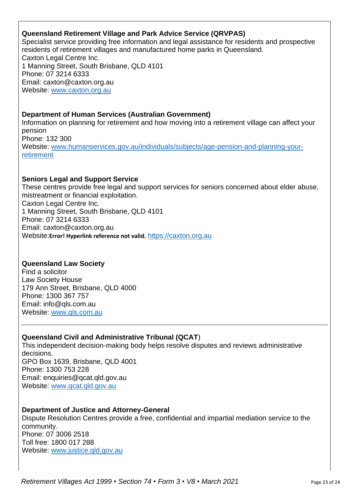## **Queensland Retirement Village and Park Advice Service (QRVPAS)**

Specialist service providing free information and legal assistance for residents and prospective residents of retirement villages and manufactured home parks in Queensland. Caxton Legal Centre Inc. 1 Manning Street, South Brisbane, QLD 4101 Phone: 07 3214 6333 Email: caxton@caxton.org.au Website: [www.caxton.org.au](http://www.caxton.org.au/)

## **Department of Human Services (Australian Government)**

Information on planning for retirement and how moving into a retirement village can affect your pension Phone: 132 300 Website: [www.humanservices.gov.au/individuals/subjects/age-pension-and-planning-your](file:///C:/Users/juliet.gross/AppData/Roaming/Microsoft/Word/www.humanservices.gov.au/individuals/subjects/age-pension-and-planning-your-retirement)[retirement](file:///C:/Users/juliet.gross/AppData/Roaming/Microsoft/Word/www.humanservices.gov.au/individuals/subjects/age-pension-and-planning-your-retirement)

## **Seniors Legal and Support Service**

These centres provide free legal and support services for seniors concerned about elder abuse, mistreatment or financial exploitation. Caxton Legal Centre Inc. 1 Manning Street, South Brisbane, QLD 4101 Phone: 07 3214 6333 Email: caxton@caxton.org.au Website:**Error! Hyperlink reference not valid.** [https://caxton.org.au](https://caxton.org.au/)

## **Queensland Law Society**

Find a solicitor Law Society House 179 Ann Street, Brisbane, QLD 4000 Phone: 1300 367 757 Email: info@qls.com.au Website: [www.qls.com.au](http://www.qls.com.au/)

## **Queensland Civil and Administrative Tribunal (QCAT**)

This independent decision-making body helps resolve disputes and reviews administrative decisions. GPO Box 1639, Brisbane, QLD 4001 Phone: 1300 753 228 Email: enquiries@qcat.qld.gov.au Website: [www.qcat.qld.gov.au](http://www.qcat.qld.gov.au/)

## **Department of Justice and Attorney-General**

Dispute Resolution Centres provide a free, confidential and impartial mediation service to the community. Phone: 07 3006 2518 Toll free: 1800 017 288 Website: [www.justice.qld.gov.au](http://www.justice.qld.gov.au/)